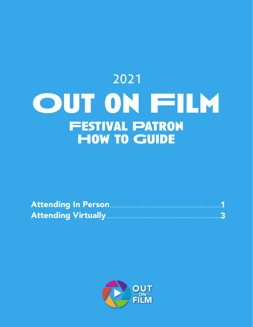# 2021OUT ON FILM **Festival Patron How to Guide**

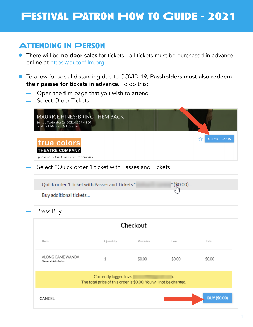## **Festival Patron How to Guide - 2021**

### **Attending In Person**

- **There will be no door sales** for tickets all tickets must be purchased in advance online at <https://outonfilm.org>
- **•** To allow for social distancing due to COVID-19, Passholders must also redeem their passes for tickets in advance. To do this:
	- Open the film page that you wish to attend
	- Select Order Tickets

| <b>MAURICE HINES: BRING THEM BACK</b><br>Sunday, September 26, 2021 4:00 PM EDT<br>Landmark Midtown Art Cinema |                      |
|----------------------------------------------------------------------------------------------------------------|----------------------|
| true colors                                                                                                    | <b>ORDER TICKETS</b> |
| <b>THEATRE COMPANY</b><br>Sponsored by True Colors Theatre Company                                             |                      |

Select "Quick order 1 ticket with Passes and Tickets"

| Quick order 1 ticket with Passes and Tickets" | $^{\circ}$ (\$0.00)<br>⊩ال |  |
|-----------------------------------------------|----------------------------|--|
| Buy additional tickets                        |                            |  |

Press Buy

| Checkout                                                                                    |          |           |        |                     |  |  |  |
|---------------------------------------------------------------------------------------------|----------|-----------|--------|---------------------|--|--|--|
| Item                                                                                        | Quantity | Price/ea. | Fee    | Total               |  |  |  |
| ALONG CAME WANDA<br>General Admission                                                       | 1        | \$0.00    | \$0.00 | \$0.00              |  |  |  |
| Currently logged in as<br>The total price of this order is \$0.00. You will not be charged. |          |           |        |                     |  |  |  |
| CANCEL                                                                                      |          |           |        | <b>BUY (\$0.00)</b> |  |  |  |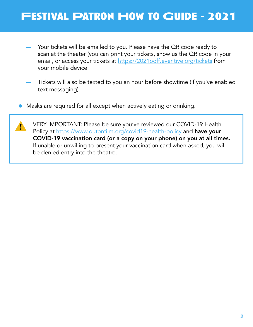# **Festival Patron How to Guide - 2021**

- Your tickets will be emailed to you. Please have the QR code ready to scan at the theater (you can print your tickets, show us the QR code in your email, or access your tickets at https://202[1ooff.eventive.org/tickets](http://2021ooff.eventive.org/tickets) from your mobile device.
- Tickets will also be texted to you an hour before showtime (if you've enabled text messaging)
- Masks are required for all except when actively eating or drinking.  $\bullet$

VERY IMPORTANT: Please be sure you've reviewed our COVID-19 Health Policy at https://www.outonfilm.org/covid19-health-policy and have your COVID-19 vaccination card (or a copy on your phone) on you at all times. If unable or unwilling to present your vaccination card when asked, you will be denied entry into the theatre.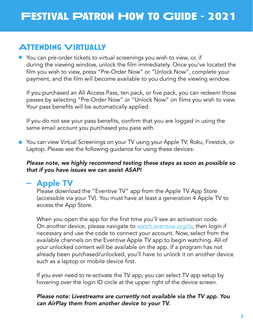## **Attending Virtually**

You can pre-order tickets to virtual screenings you wish to view, or, if during the viewing window, unlock the film immediately. Once you've located the film you wish to view, press "Pre-Order Now" or "Unlock Now", complete your payment, and the film will become available to you during the viewing window.

If you purchased an All Access Pass, ten pack, or five pack, you can redeem those passes by selecting "Pre-Order Now" or "Unlock Now" on films you wish to view. Your pass benefits will be automatically applied.

If you do not see your pass benefits, confirm that you are logged in using the same email account you purchased you pass with.

● You can view Virtual Screenings on your TV using your Apple TV, Roku, Firestick, or Laptop. Please see the following guidance for using these devices:

#### *Please note, we highly recommend testing these steps as soon as possible so that if you have issues we can assist ASAP!*

#### - Apple TV

Please download the "Eventive TV" app from the Apple TV App Store (accessible via your TV). You must have at least a generation 4 Apple TV to access the App Store.

When you open the app for the first time you'll see an activation code. On another device, please navigate to [watch.eventive.org/tv,](http://watch.eventive.org/tv) then login if necessary and use the code to connect your account. Now, select from the available channels on the Eventive Apple TV app to begin watching. All of your unlocked content will be available on the app. If a program has not already been purchased/unlocked, you'll have to unlock it on another device such as a laptop or mobile device first.

If you ever need to re-activate the TV app, you can select TV app setup by hovering over the login ID circle at the upper right of the device screen.

#### *Please note: Livestreams are currently not available via the TV app. You can AirPlay them from another device to your TV.*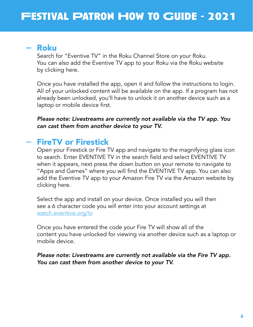#### Roku

Search for "Eventive TV" in the Roku Channel Store on your Roku. You can also add the Eventive TV app to your Roku via the Roku website by clicking here.

Once you have installed the app, open it and follow the instructions to login. All of your unlocked content will be available on the app. If a program has not already been unlocked, you'll have to unlock it on another device such as a laptop or mobile device first.

*Please note: Livestreams are currently not available via the TV app. You can cast them from another device to your TV.*

### FireTV or Firestick

Open your Firestick or Fire TV app and navigate to the magnifying glass icon to search. Enter EVENTIVE TV in the search field and select EVENTIVE TV when it appears, next press the down button on your remote to navigate to "Apps and Games" where you will find the EVENTIVE TV app. You can also add the Eventive TV app to your Amazon Fire TV via the Amazon website by clicking here.

Select the app and install on your device. Once installed you will then see a 6 character code you will enter into your account settings at [watch.eventive.org/tv](http://watch.eventive.org/tv)

Once you have entered the code your Fire TV will show all of the content you have unlocked for viewing via another device such as a laptop or mobile device.

*Please note: Livestreams are currently not available via the Fire TV app. You can cast them from another device to your TV.*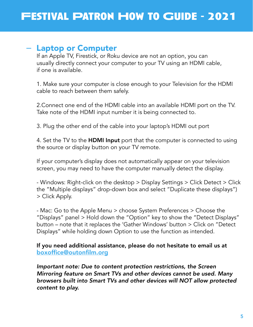#### - Laptop or Computer

If an Apple TV, Firestick, or Roku device are not an option, you can usually directly connect your computer to your TV using an HDMI cable, if one is available.

1. Make sure your computer is close enough to your Television for the HDMI cable to reach between them safely.

2.Connect one end of the HDMI cable into an available HDMI port on the TV. Take note of the HDMI input number it is being connected to.

3. Plug the other end of the cable into your laptop's HDMI out port

4. Set the TV to the **HDMI Input** port that the computer is connected to using the source or display button on your TV remote.

If your computer's display does not automatically appear on your television screen, you may need to have the computer manually detect the display.

- Windows: Right-click on the desktop > Display Settings > Click Detect > Click the "Multiple displays" drop-down box and select "Duplicate these displays") > Click Apply.

- Mac: Go to the Apple Menu > choose System Preferences > Choose the "Displays" panel > Hold down the "Option" key to show the "Detect Displays" button – note that it replaces the 'Gather Windows' button > Click on "Detect Displays" while holding down Option to use the function as intended.

If you need additional assistance, please do not hesitate to email us at [boxoffice@outonfilm.org](mailto:boxoffice%40outonfilm.org?subject=)

*Important note: Due to content protection restrictions, the Screen Mirroring feature on Smart TVs and other devices cannot be used. Many browsers built into Smart TVs and other devices will NOT allow protected content to play.*